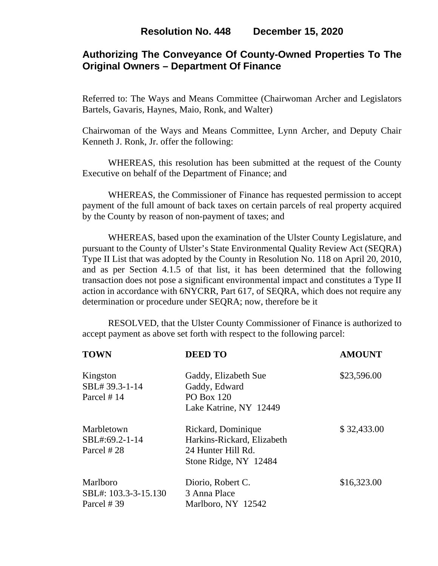### **Authorizing The Conveyance Of County-Owned Properties To The Original Owners – Department Of Finance**

Referred to: The Ways and Means Committee (Chairwoman Archer and Legislators Bartels, Gavaris, Haynes, Maio, Ronk, and Walter)

Chairwoman of the Ways and Means Committee, Lynn Archer, and Deputy Chair Kenneth J. Ronk, Jr. offer the following:

WHEREAS, this resolution has been submitted at the request of the County Executive on behalf of the Department of Finance; and

 WHEREAS, the Commissioner of Finance has requested permission to accept payment of the full amount of back taxes on certain parcels of real property acquired by the County by reason of non-payment of taxes; and

WHEREAS, based upon the examination of the Ulster County Legislature, and pursuant to the County of Ulster's State Environmental Quality Review Act (SEQRA) Type II List that was adopted by the County in Resolution No. 118 on April 20, 2010, and as per Section 4.1.5 of that list, it has been determined that the following transaction does not pose a significant environmental impact and constitutes a Type II action in accordance with 6NYCRR, Part 617, of SEQRA, which does not require any determination or procedure under SEQRA; now, therefore be it

 RESOLVED, that the Ulster County Commissioner of Finance is authorized to accept payment as above set forth with respect to the following parcel:

| <b>TOWN</b>                                    | <b>DEED TO</b>                                                                                  | <b>AMOUNT</b> |
|------------------------------------------------|-------------------------------------------------------------------------------------------------|---------------|
| Kingston<br>SBL# 39.3-1-14<br>Parcel #14       | Gaddy, Elizabeth Sue<br>Gaddy, Edward<br><b>PO Box 120</b><br>Lake Katrine, NY 12449            | \$23,596.00   |
| Marbletown<br>SBL#:69.2-1-14<br>Parcel #28     | Rickard, Dominique<br>Harkins-Rickard, Elizabeth<br>24 Hunter Hill Rd.<br>Stone Ridge, NY 12484 | \$32,433.00   |
| Marlboro<br>SBL#: 103.3-3-15.130<br>Parcel #39 | Diorio, Robert C.<br>3 Anna Place<br>Marlboro, NY 12542                                         | \$16,323.00   |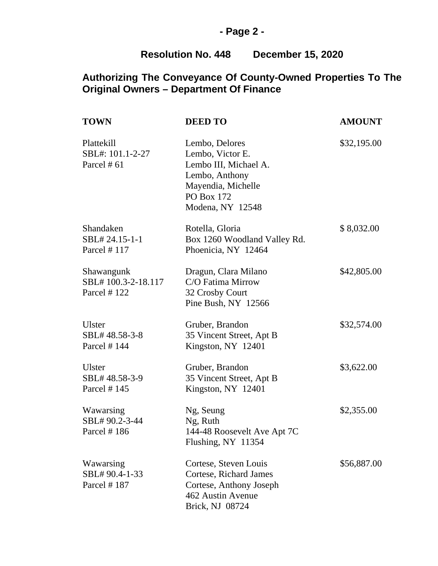## **- Page 2 -**

# **Resolution No. 448 December 15, 2020**

# **Authorizing The Conveyance Of County-Owned Properties To The Original Owners – Department Of Finance**

| <b>TOWN</b>                                       | <b>DEED TO</b>                                                                                                                        | <b>AMOUNT</b> |
|---------------------------------------------------|---------------------------------------------------------------------------------------------------------------------------------------|---------------|
| Plattekill<br>SBL#: 101.1-2-27<br>Parcel # 61     | Lembo, Delores<br>Lembo, Victor E.<br>Lembo III, Michael A.<br>Lembo, Anthony<br>Mayendia, Michelle<br>PO Box 172<br>Modena, NY 12548 | \$32,195.00   |
| Shandaken<br>SBL# 24.15-1-1<br>Parcel # 117       | Rotella, Gloria<br>Box 1260 Woodland Valley Rd.<br>Phoenicia, NY 12464                                                                | \$8,032.00    |
| Shawangunk<br>SBL# 100.3-2-18.117<br>Parcel # 122 | Dragun, Clara Milano<br>C/O Fatima Mirrow<br>32 Crosby Court<br>Pine Bush, NY 12566                                                   | \$42,805.00   |
| Ulster<br>SBL# 48.58-3-8<br>Parcel #144           | Gruber, Brandon<br>35 Vincent Street, Apt B<br>Kingston, NY 12401                                                                     | \$32,574.00   |
| Ulster<br>SBL# 48.58-3-9<br>Parcel # 145          | Gruber, Brandon<br>35 Vincent Street, Apt B<br>Kingston, NY 12401                                                                     | \$3,622.00    |
| Wawarsing<br>SBL# 90.2-3-44<br>Parcel #186        | Ng, Seung<br>Ng, Ruth<br>144-48 Roosevelt Ave Apt 7C<br>Flushing, NY 11354                                                            | \$2,355.00    |
| Wawarsing<br>SBL# 90.4-1-33<br>Parcel #187        | Cortese, Steven Louis<br>Cortese, Richard James<br>Cortese, Anthony Joseph<br>462 Austin Avenue<br>Brick, NJ 08724                    | \$56,887.00   |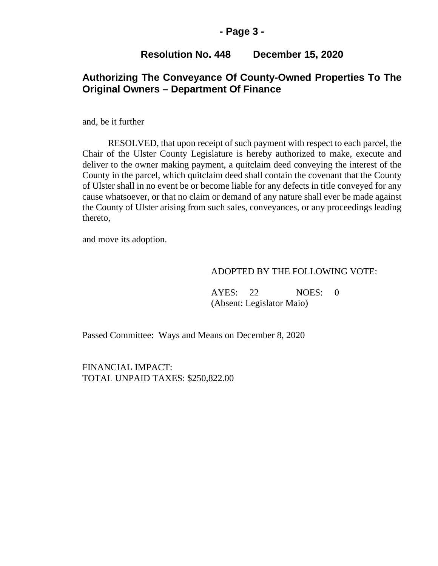#### **- Page 3 -**

### **Resolution No. 448 December 15, 2020**

### **Authorizing The Conveyance Of County-Owned Properties To The Original Owners – Department Of Finance**

and, be it further

RESOLVED, that upon receipt of such payment with respect to each parcel, the Chair of the Ulster County Legislature is hereby authorized to make, execute and deliver to the owner making payment, a quitclaim deed conveying the interest of the County in the parcel, which quitclaim deed shall contain the covenant that the County of Ulster shall in no event be or become liable for any defects in title conveyed for any cause whatsoever, or that no claim or demand of any nature shall ever be made against the County of Ulster arising from such sales, conveyances, or any proceedings leading thereto,

and move its adoption.

#### ADOPTED BY THE FOLLOWING VOTE:

AYES: 22 NOES: 0 (Absent: Legislator Maio)

Passed Committee: Ways and Means on December 8, 2020

FINANCIAL IMPACT: TOTAL UNPAID TAXES: \$250,822.00